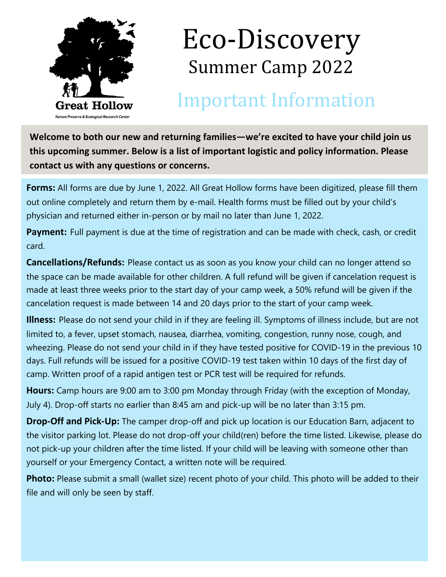

# Eco-Discovery Summer Camp 2022

## Important Information

**Welcome to both our new and returning families—we're excited to have your child join us this upcoming summer. Below is a list of important logistic and policy information. Please contact us with any questions or concerns.** 

Forms: All forms are due by June 1, 2022. All Great Hollow forms have been digitized, please fill them out online completely and return them by e-mail. Health forms must be filled out by your child's physician and returned either in-person or by mail no later than June 1, 2022.

**Payment:** Full payment is due at the time of registration and can be made with check, cash, or credit card.

**Cancellations/Refunds:** Please contact us as soon as you know your child can no longer attend so the space can be made available for other children. A full refund will be given if cancelation request is made at least three weeks prior to the start day of your camp week, a 50% refund will be given if the cancelation request is made between 14 and 20 days prior to the start of your camp week.

**Illness:** Please do not send your child in if they are feeling ill. Symptoms of illness include, but are not limited to, a fever, upset stomach, nausea, diarrhea, vomiting, congestion, runny nose, cough, and wheezing. Please do not send your child in if they have tested positive for COVID-19 in the previous 10 days. Full refunds will be issued for a positive COVID-19 test taken within 10 days of the first day of camp. Written proof of a rapid antigen test or PCR test will be required for refunds.

**Hours:** Camp hours are 9:00 am to 3:00 pm Monday through Friday (with the exception of Monday, July 4). Drop-off starts no earlier than 8:45 am and pick-up will be no later than 3:15 pm.

**Drop-Off and Pick-Up:** The camper drop-off and pick up location is our Education Barn, adjacent to the visitor parking lot. Please do not drop-off your child(ren) before the time listed. Likewise, please do not pick-up your children after the time listed. If your child will be leaving with someone other than yourself or your Emergency Contact, a written note will be required.

**Photo:** Please submit a small (wallet size) recent photo of your child. This photo will be added to their file and will only be seen by staff.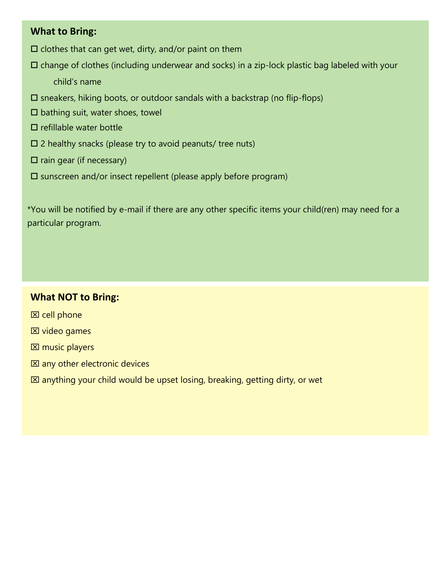#### **What to Bring:**

- $\square$  clothes that can get wet, dirty, and/or paint on them
- $\square$  change of clothes (including underwear and socks) in a zip-lock plastic bag labeled with your child's name
- $\square$  sneakers, hiking boots, or outdoor sandals with a backstrap (no flip-flops)
- $\square$  bathing suit, water shoes, towel
- $\square$  refillable water bottle
- $\square$  2 healthy snacks (please try to avoid peanuts/ tree nuts)
- $\square$  rain gear (if necessary)
- $\square$  sunscreen and/or insect repellent (please apply before program)

\*You will be notified by e-mail if there are any other specific items your child(ren) may need for a particular program.

#### **What NOT to Bring:**

 $\boxtimes$  cell phone

- $\boxtimes$  video games
- $\boxtimes$  music players
- **E any other electronic devices**
- $\boxtimes$  anything your child would be upset losing, breaking, getting dirty, or wet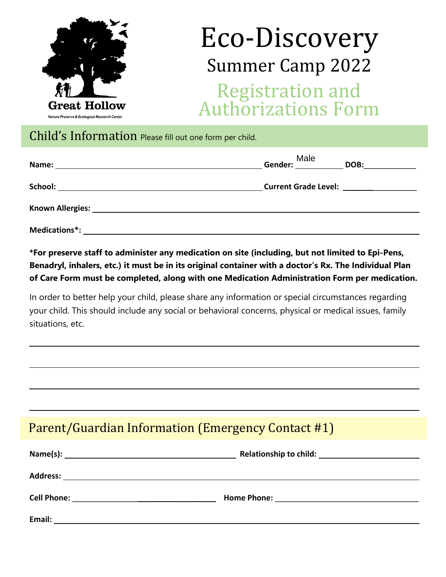

## Eco-Discovery Summer Camp 2022

Registration and Authorizations Form

Child's Information Please fill out one form per child.

| Name:<br><u> 1989 - Johann Stein, marking and de Brazilian (b. 1989)</u> | Male<br>Gender: Times | DOB: |
|--------------------------------------------------------------------------|-----------------------|------|
| School:                                                                  |                       |      |
| <b>Known Allergies:</b>                                                  |                       |      |
| <b>Medications*:</b>                                                     |                       |      |

**\*For preserve staff to administer any medication on site (including, but not limited to Epi-Pens, Benadryl, inhalers, etc.) it must be in its original container with a doctor's Rx. The Individual Plan of Care Form must be completed, along with one Medication Administration Form per medication.**

In order to better help your child, please share any information or special circumstances regarding your child. This should include any social or behavioral concerns, physical or medical issues, family situations, etc.

## Parent/Guardian Information (Emergency Contact #1)

| $Name(s): \underline{\hspace{2.5cm}}$                                                                                                    | <b>Relationship to child:</b><br><u> 1980 - Andrea Andrew Maria (h. 1980).</u> |
|------------------------------------------------------------------------------------------------------------------------------------------|--------------------------------------------------------------------------------|
| <b>Address:</b><br><u> 1989 - John Stein, september 1989 - John Stein, september 1989 - John Stein, september 1989 - John Stein, sep</u> |                                                                                |
|                                                                                                                                          |                                                                                |
| Email:                                                                                                                                   |                                                                                |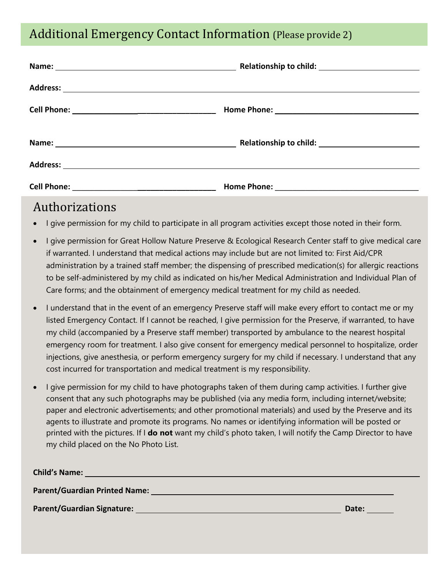## Additional Emergency Contact Information (Please provide 2)

### Authorizations

- I give permission for my child to participate in all program activities except those noted in their form.
- I give permission for Great Hollow Nature Preserve & Ecological Research Center staff to give medical care if warranted. I understand that medical actions may include but are not limited to: First Aid/CPR administration by a trained staff member; the dispensing of prescribed medication(s) for allergic reactions to be self-administered by my child as indicated on his/her Medical Administration and Individual Plan of Care forms; and the obtainment of emergency medical treatment for my child as needed.
- I understand that in the event of an emergency Preserve staff will make every effort to contact me or my listed Emergency Contact. If I cannot be reached, I give permission for the Preserve, if warranted, to have my child (accompanied by a Preserve staff member) transported by ambulance to the nearest hospital emergency room for treatment. I also give consent for emergency medical personnel to hospitalize, order injections, give anesthesia, or perform emergency surgery for my child if necessary. I understand that any cost incurred for transportation and medical treatment is my responsibility.
- I give permission for my child to have photographs taken of them during camp activities. I further give consent that any such photographs may be published (via any media form, including internet/website; paper and electronic advertisements; and other promotional materials) and used by the Preserve and its agents to illustrate and promote its programs. No names or identifying information will be posted or printed with the pictures. If I **do not** want my child's photo taken, I will notify the Camp Director to have my child placed on the No Photo List.

| <b>Child's Name:</b>                 |       |
|--------------------------------------|-------|
| <b>Parent/Guardian Printed Name:</b> |       |
| <b>Parent/Guardian Signature:</b>    | Date: |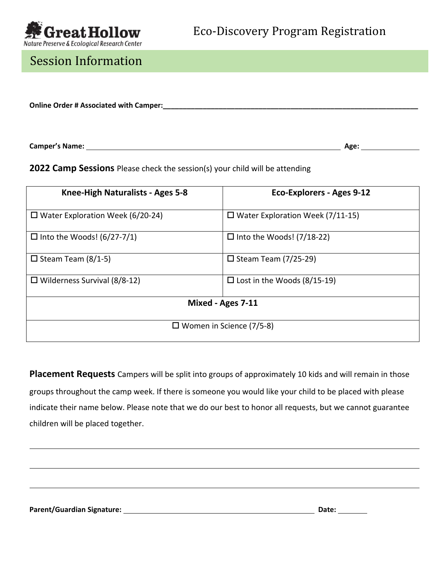

### Session Information

**Online Order # Associated with Camper:\_\_\_\_\_\_\_\_\_\_\_\_\_\_\_\_\_\_\_\_\_\_\_\_\_\_\_\_\_\_\_\_\_\_\_\_\_\_\_\_\_\_\_\_\_\_\_\_\_\_\_\_\_\_\_\_\_\_\_\_\_\_\_\_**

**Camper's Name: Age:** 

**2022 Camp Sessions** Please check the session(s) your child will be attending

| Knee-High Naturalists - Ages 5-8        | <b>Eco-Explorers - Ages 9-12</b>        |  |
|-----------------------------------------|-----------------------------------------|--|
| $\Box$ Water Exploration Week (6/20-24) | $\Box$ Water Exploration Week (7/11-15) |  |
| $\Box$ Into the Woods! (6/27-7/1)       | $\Box$ Into the Woods! (7/18-22)        |  |
| $\Box$ Steam Team (8/1-5)               | $\square$ Steam Team (7/25-29)          |  |
| $\Box$ Wilderness Survival (8/8-12)     | $\Box$ Lost in the Woods (8/15-19)      |  |
| Mixed - Ages 7-11                       |                                         |  |
| $\Box$ Women in Science (7/5-8)         |                                         |  |

**Placement Requests** Campers will be split into groups of approximately 10 kids and will remain in those groups throughout the camp week. If there is someone you would like your child to be placed with please indicate their name below. Please note that we do our best to honor all requests, but we cannot guarantee children will be placed together.

Parent/Guardian Signature: **Date: Date: Date: Date: Date: Date: Date: Date: Date: Date: Date: Date: Date: Date: Date: Date: Date: Date: Date: Date: Date: Date: Date: Date: Da**